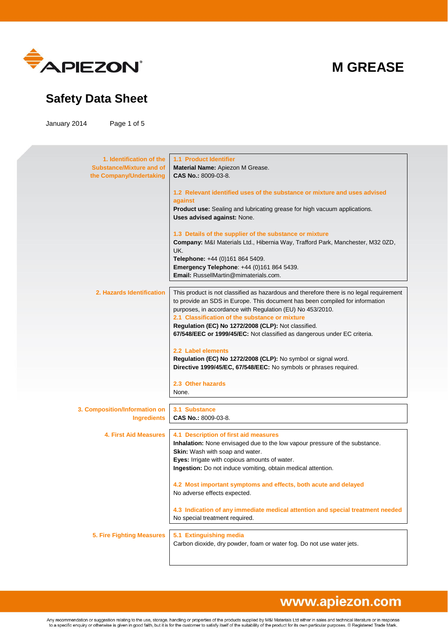

### **Safety Data Sheet**

January 2014 Page 1 of 5

| 1. Identification of the<br><b>Substance/Mixture and of</b><br>the Company/Undertaking | <b>1.1 Product Identifier</b><br>Material Name: Apiezon M Grease.<br>CAS No.: 8009-03-8.<br>1.2 Relevant identified uses of the substance or mixture and uses advised<br>against<br>Product use: Sealing and lubricating grease for high vacuum applications.<br>Uses advised against: None.<br>1.3 Details of the supplier of the substance or mixture<br>Company: M&I Materials Ltd., Hibernia Way, Trafford Park, Manchester, M32 0ZD,<br>UK.<br>Telephone: +44 (0)161 864 5409.<br>Emergency Telephone: +44 (0)161 864 5439.<br><b>Email:</b> RussellMartin@mimaterials.com.                                    |
|----------------------------------------------------------------------------------------|---------------------------------------------------------------------------------------------------------------------------------------------------------------------------------------------------------------------------------------------------------------------------------------------------------------------------------------------------------------------------------------------------------------------------------------------------------------------------------------------------------------------------------------------------------------------------------------------------------------------|
| 2. Hazards Identification                                                              | This product is not classified as hazardous and therefore there is no legal requirement<br>to provide an SDS in Europe. This document has been compiled for information<br>purposes, in accordance with Regulation (EU) No 453/2010.<br>2.1 Classification of the substance or mixture<br>Regulation (EC) No 1272/2008 (CLP): Not classified.<br>67/548/EEC or 1999/45/EC: Not classified as dangerous under EC criteria.<br>2.2 Label elements<br>Regulation (EC) No 1272/2008 (CLP): No symbol or signal word.<br>Directive 1999/45/EC, 67/548/EEC: No symbols or phrases required.<br>2.3 Other hazards<br>None. |
| 3. Composition/Information on<br><b>Ingredients</b>                                    | 3.1 Substance<br>CAS No.: 8009-03-8.                                                                                                                                                                                                                                                                                                                                                                                                                                                                                                                                                                                |
| <b>4. First Aid Measures</b>                                                           | 4.1 Description of first aid measures<br>Inhalation: None envisaged due to the low vapour pressure of the substance.<br>Skin: Wash with soap and water.<br>Eyes: Irrigate with copious amounts of water.<br>Ingestion: Do not induce vomiting, obtain medical attention.<br>4.2 Most important symptoms and effects, both acute and delayed<br>No adverse effects expected.<br>4.3 Indication of any immediate medical attention and special treatment needed<br>No special treatment required.                                                                                                                     |
| 5. Fire Fighting Measures                                                              | 5.1 Extinguishing media<br>Carbon dioxide, dry powder, foam or water fog. Do not use water jets.                                                                                                                                                                                                                                                                                                                                                                                                                                                                                                                    |

# www.apiezon.com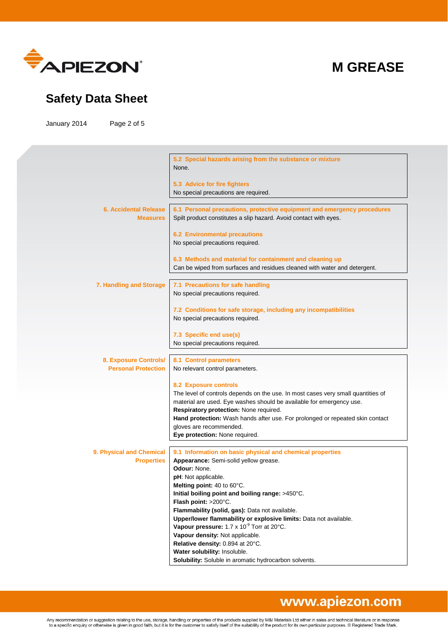

### **Safety Data Sheet**

January 2014 Page 2 of 5

|                                                     | 5.2 Special hazards arising from the substance or mixture<br>None.                                                                           |
|-----------------------------------------------------|----------------------------------------------------------------------------------------------------------------------------------------------|
|                                                     | 5.3 Advice for fire fighters                                                                                                                 |
|                                                     | No special precautions are required.                                                                                                         |
| <b>6. Accidental Release</b><br><b>Measures</b>     | 6.1 Personal precautions, protective equipment and emergency procedures<br>Spilt product constitutes a slip hazard. Avoid contact with eyes. |
|                                                     | <b>6.2 Environmental precautions</b>                                                                                                         |
|                                                     | No special precautions required.                                                                                                             |
|                                                     | 6.3 Methods and material for containment and cleaning up                                                                                     |
|                                                     | Can be wiped from surfaces and residues cleaned with water and detergent.                                                                    |
| 7. Handling and Storage                             | 7.1 Precautions for safe handling                                                                                                            |
|                                                     | No special precautions required.                                                                                                             |
|                                                     |                                                                                                                                              |
|                                                     | 7.2 Conditions for safe storage, including any incompatibilities<br>No special precautions required.                                         |
|                                                     |                                                                                                                                              |
|                                                     | 7.3 Specific end use(s)                                                                                                                      |
|                                                     | No special precautions required.                                                                                                             |
|                                                     |                                                                                                                                              |
| 8. Exposure Controls/<br><b>Personal Protection</b> | 8.1 Control parameters                                                                                                                       |
|                                                     | No relevant control parameters.                                                                                                              |
|                                                     | <b>8.2 Exposure controls</b>                                                                                                                 |
|                                                     | The level of controls depends on the use. In most cases very small quantities of                                                             |
|                                                     | material are used. Eye washes should be available for emergency use.                                                                         |
|                                                     | Respiratory protection: None required.                                                                                                       |
|                                                     | Hand protection: Wash hands after use. For prolonged or repeated skin contact<br>gloves are recommended.                                     |
|                                                     | Eye protection: None required.                                                                                                               |
|                                                     |                                                                                                                                              |
| 9. Physical and Chemical                            | 9.1 Information on basic physical and chemical properties                                                                                    |
| <b>Properties</b>                                   | Appearance: Semi-solid yellow grease.                                                                                                        |
|                                                     | Odour: None.<br>pH: Not applicable.                                                                                                          |
|                                                     | Meltina point: 40 to 60°C.                                                                                                                   |
|                                                     | Initial boiling point and boiling range: >450°C.                                                                                             |
|                                                     | Flash point: >200°C.                                                                                                                         |
|                                                     | Flammability (solid, gas): Data not available.                                                                                               |
|                                                     | Upper/lower flammability or explosive limits: Data not available.<br>Vapour pressure: 1.7 x 10 <sup>-9</sup> Torr at 20°C.                   |
|                                                     | Vapour density: Not applicable.                                                                                                              |
|                                                     | Relative density: 0.894 at 20°C.                                                                                                             |
|                                                     | Water solubility: Insoluble.                                                                                                                 |
|                                                     | Solubility: Soluble in aromatic hydrocarbon solvents.                                                                                        |
|                                                     |                                                                                                                                              |

### www.apiezon.com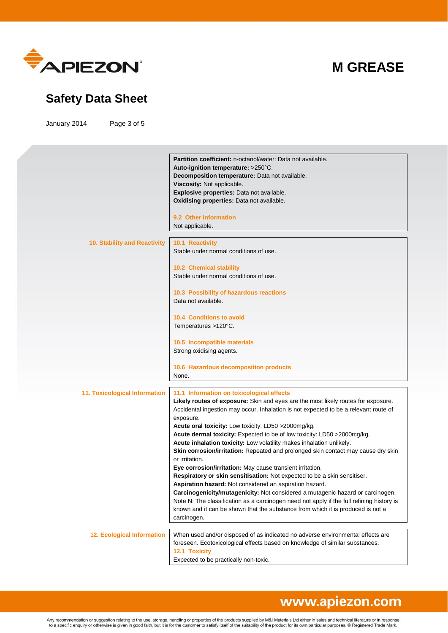

### **Safety Data Sheet**

January 2014 Page 3 of 5

|                                   | Partition coefficient: n-octanol/water: Data not available.                               |
|-----------------------------------|-------------------------------------------------------------------------------------------|
|                                   | Auto-ignition temperature: >250°C.                                                        |
|                                   | Decomposition temperature: Data not available.                                            |
|                                   | Viscosity: Not applicable.                                                                |
|                                   | Explosive properties: Data not available.                                                 |
|                                   | Oxidising properties: Data not available.                                                 |
|                                   |                                                                                           |
|                                   | 9.2 Other information                                                                     |
|                                   | Not applicable.                                                                           |
|                                   |                                                                                           |
| 10. Stability and Reactivity      | 10.1 Reactivity                                                                           |
|                                   | Stable under normal conditions of use.                                                    |
|                                   |                                                                                           |
|                                   | 10.2 Chemical stability                                                                   |
|                                   | Stable under normal conditions of use.                                                    |
|                                   |                                                                                           |
|                                   | 10.3 Possibility of hazardous reactions                                                   |
|                                   | Data not available.                                                                       |
|                                   |                                                                                           |
|                                   | <b>10.4 Conditions to avoid</b>                                                           |
|                                   | Temperatures >120°C.                                                                      |
|                                   |                                                                                           |
|                                   | 10.5 Incompatible materials<br>Strong oxidising agents.                                   |
|                                   |                                                                                           |
|                                   | 10.6 Hazardous decomposition products                                                     |
|                                   | None.                                                                                     |
|                                   |                                                                                           |
| 11. Toxicological Information     | 11.1 Information on toxicological effects                                                 |
|                                   | Likely routes of exposure: Skin and eyes are the most likely routes for exposure.         |
|                                   | Accidental ingestion may occur. Inhalation is not expected to be a relevant route of      |
|                                   | exposure.                                                                                 |
|                                   | Acute oral toxicity: Low toxicity: LD50 >2000mg/kg.                                       |
|                                   | Acute dermal toxicity: Expected to be of low toxicity: LD50 >2000mg/kg.                   |
|                                   | Acute inhalation toxicity: Low volatility makes inhalation unlikely.                      |
|                                   | Skin corrosion/irritation: Repeated and prolonged skin contact may cause dry skin         |
|                                   | or irritation.                                                                            |
|                                   | Eye corrosion/irritation: May cause transient irritation.                                 |
|                                   | Respiratory or skin sensitisation: Not expected to be a skin sensitiser.                  |
|                                   | Aspiration hazard: Not considered an aspiration hazard.                                   |
|                                   | Carcinogenicity/mutagenicity: Not considered a mutagenic hazard or carcinogen.            |
|                                   | Note N: The classification as a carcinogen need not apply if the full refining history is |
|                                   | known and it can be shown that the substance from which it is produced is not a           |
|                                   | carcinogen.                                                                               |
|                                   |                                                                                           |
| <b>12. Ecological Information</b> | When used and/or disposed of as indicated no adverse environmental effects are            |
|                                   | foreseen. Ecotoxicological effects based on knowledge of similar substances.              |
|                                   |                                                                                           |
|                                   | 12.1 Toxicity<br>Expected to be practically non-toxic.                                    |

### www.apiezon.com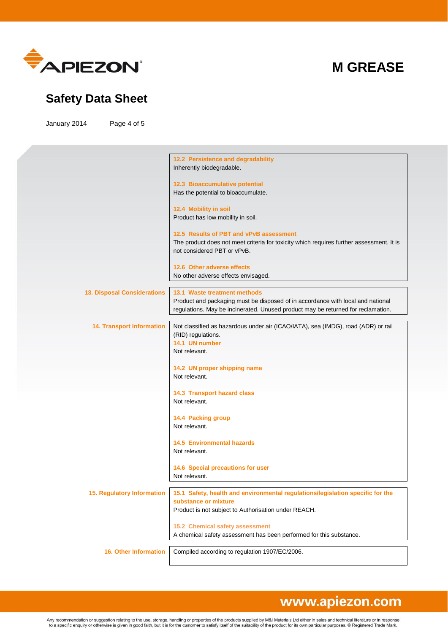

### **Safety Data Sheet**

January 2014 Page 4 of 5

|                                    | 12.2 Persistence and degradability<br>Inherently biodegradable.                                                                                                                                     |
|------------------------------------|-----------------------------------------------------------------------------------------------------------------------------------------------------------------------------------------------------|
|                                    | 12.3 Bioaccumulative potential<br>Has the potential to bioaccumulate.                                                                                                                               |
|                                    | 12.4 Mobility in soil<br>Product has low mobility in soil.                                                                                                                                          |
|                                    | 12.5 Results of PBT and vPvB assessment<br>The product does not meet criteria for toxicity which requires further assessment. It is                                                                 |
|                                    | not considered PBT or vPvB.<br>12.6 Other adverse effects                                                                                                                                           |
|                                    | No other adverse effects envisaged.                                                                                                                                                                 |
| <b>13. Disposal Considerations</b> | 13.1 Waste treatment methods<br>Product and packaging must be disposed of in accordance with local and national<br>regulations. May be incinerated. Unused product may be returned for reclamation. |
| <b>14. Transport Information</b>   | Not classified as hazardous under air (ICAO/IATA), sea (IMDG), road (ADR) or rail<br>(RID) regulations.<br>14.1 UN number<br>Not relevant.                                                          |
|                                    | 14.2 UN proper shipping name<br>Not relevant.                                                                                                                                                       |
|                                    | 14.3 Transport hazard class<br>Not relevant.                                                                                                                                                        |
|                                    | 14.4 Packing group<br>Not relevant.                                                                                                                                                                 |
|                                    | <b>14.5 Environmental hazards</b><br>Not relevant.                                                                                                                                                  |
|                                    | 14.6 Special precautions for user<br>Not relevant.                                                                                                                                                  |
| 15. Regulatory Information         | 15.1 Safety, health and environmental regulations/legislation specific for the<br>substance or mixture<br>Product is not subject to Authorisation under REACH.                                      |
|                                    | 15.2 Chemical safety assessment<br>A chemical safety assessment has been performed for this substance.                                                                                              |
| <b>16. Other Information</b>       | Compiled according to regulation 1907/EC/2006.                                                                                                                                                      |

# www.apiezon.com